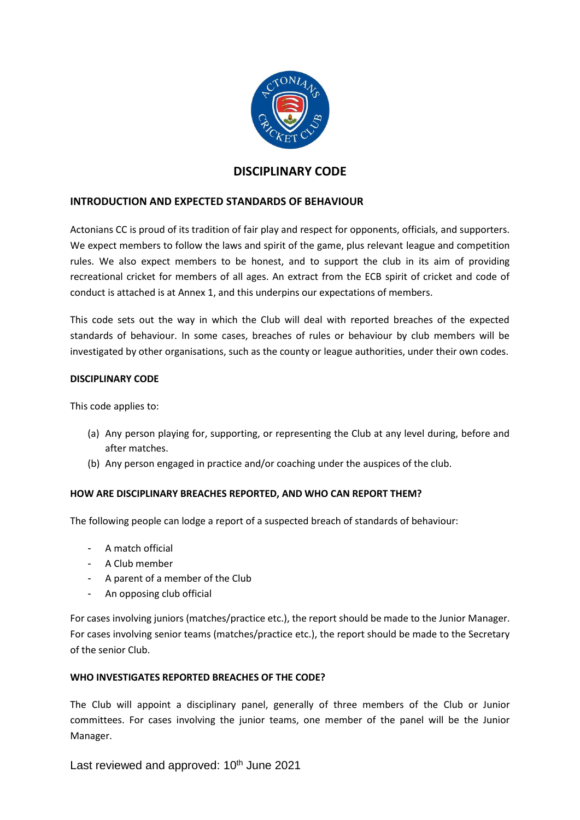

# **DISCIPLINARY CODE**

# **INTRODUCTION AND EXPECTED STANDARDS OF BEHAVIOUR**

Actonians CC is proud of its tradition of fair play and respect for opponents, officials, and supporters. We expect members to follow the laws and spirit of the game, plus relevant league and competition rules. We also expect members to be honest, and to support the club in its aim of providing recreational cricket for members of all ages. An extract from the ECB spirit of cricket and code of conduct is attached is at Annex 1, and this underpins our expectations of members.

This code sets out the way in which the Club will deal with reported breaches of the expected standards of behaviour. In some cases, breaches of rules or behaviour by club members will be investigated by other organisations, such as the county or league authorities, under their own codes.

## **DISCIPLINARY CODE**

This code applies to:

- (a) Any person playing for, supporting, or representing the Club at any level during, before and after matches.
- (b) Any person engaged in practice and/or coaching under the auspices of the club.

# **HOW ARE DISCIPLINARY BREACHES REPORTED, AND WHO CAN REPORT THEM?**

The following people can lodge a report of a suspected breach of standards of behaviour:

- A match official
- A Club member
- A parent of a member of the Club
- An opposing club official

For cases involving juniors (matches/practice etc.), the report should be made to the Junior Manager. For cases involving senior teams (matches/practice etc.), the report should be made to the Secretary of the senior Club.

# **WHO INVESTIGATES REPORTED BREACHES OF THE CODE?**

The Club will appoint a disciplinary panel, generally of three members of the Club or Junior committees. For cases involving the junior teams, one member of the panel will be the Junior Manager.

Last reviewed and approved: 10<sup>th</sup> June 2021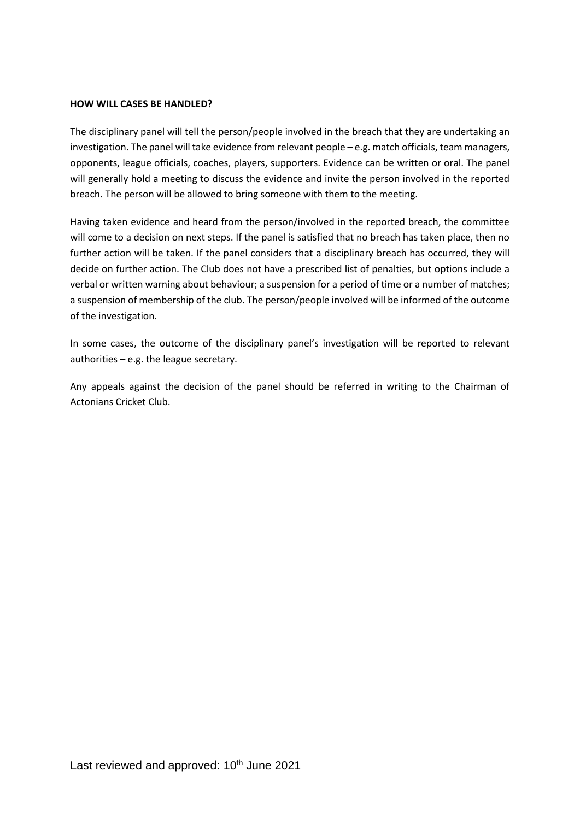#### **HOW WILL CASES BE HANDLED?**

The disciplinary panel will tell the person/people involved in the breach that they are undertaking an investigation. The panel will take evidence from relevant people – e.g. match officials, team managers, opponents, league officials, coaches, players, supporters. Evidence can be written or oral. The panel will generally hold a meeting to discuss the evidence and invite the person involved in the reported breach. The person will be allowed to bring someone with them to the meeting.

Having taken evidence and heard from the person/involved in the reported breach, the committee will come to a decision on next steps. If the panel is satisfied that no breach has taken place, then no further action will be taken. If the panel considers that a disciplinary breach has occurred, they will decide on further action. The Club does not have a prescribed list of penalties, but options include a verbal or written warning about behaviour; a suspension for a period of time or a number of matches; a suspension of membership of the club. The person/people involved will be informed of the outcome of the investigation.

In some cases, the outcome of the disciplinary panel's investigation will be reported to relevant authorities – e.g. the league secretary.

Any appeals against the decision of the panel should be referred in writing to the Chairman of Actonians Cricket Club.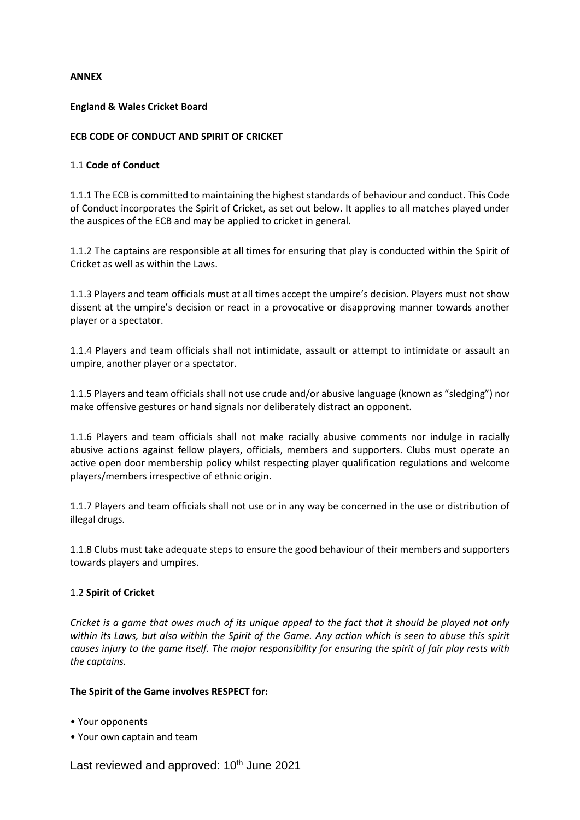## **ANNEX**

## **England & Wales Cricket Board**

## **ECB CODE OF CONDUCT AND SPIRIT OF CRICKET**

## 1.1 **Code of Conduct**

1.1.1 The ECB is committed to maintaining the highest standards of behaviour and conduct. This Code of Conduct incorporates the Spirit of Cricket, as set out below. It applies to all matches played under the auspices of the ECB and may be applied to cricket in general.

1.1.2 The captains are responsible at all times for ensuring that play is conducted within the Spirit of Cricket as well as within the Laws.

1.1.3 Players and team officials must at all times accept the umpire's decision. Players must not show dissent at the umpire's decision or react in a provocative or disapproving manner towards another player or a spectator.

1.1.4 Players and team officials shall not intimidate, assault or attempt to intimidate or assault an umpire, another player or a spectator.

1.1.5 Players and team officials shall not use crude and/or abusive language (known as "sledging") nor make offensive gestures or hand signals nor deliberately distract an opponent.

1.1.6 Players and team officials shall not make racially abusive comments nor indulge in racially abusive actions against fellow players, officials, members and supporters. Clubs must operate an active open door membership policy whilst respecting player qualification regulations and welcome players/members irrespective of ethnic origin.

1.1.7 Players and team officials shall not use or in any way be concerned in the use or distribution of illegal drugs.

1.1.8 Clubs must take adequate steps to ensure the good behaviour of their members and supporters towards players and umpires.

#### 1.2 **Spirit of Cricket**

*Cricket is a game that owes much of its unique appeal to the fact that it should be played not only within its Laws, but also within the Spirit of the Game. Any action which is seen to abuse this spirit causes injury to the game itself. The major responsibility for ensuring the spirit of fair play rests with the captains.*

#### **The Spirit of the Game involves RESPECT for:**

- Your opponents
- Your own captain and team

Last reviewed and approved: 10<sup>th</sup> June 2021